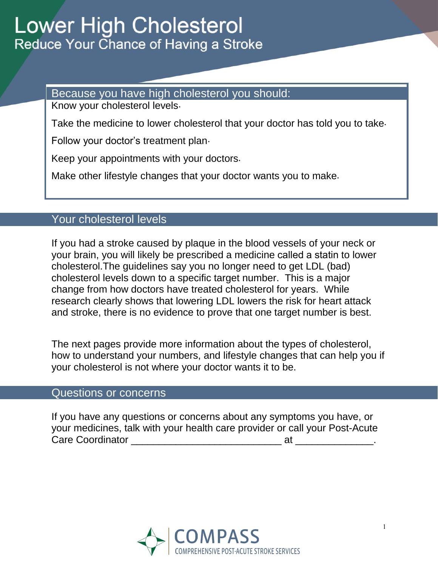Because you have high cholesterol you should:

Know your cholesterol levels .

Take the medicine to lower cholesterol that your doctor has told you to take .

Follow your doctor's treatment plan-

Keep your appointments with your doctors .

Make other lifestyle changes that your doctor wants you to make .

# Your cholesterol levels

If you had a stroke caused by plaque in the blood vessels of your neck or your brain, you will likely be prescribed a medicine called a statin to lower cholesterol.The guidelines say you no longer need to get LDL (bad) cholesterol levels down to a specific target number. This is a major change from how doctors have treated cholesterol for years. While research clearly shows that lowering LDL lowers the risk for heart attack and stroke, there is no evidence to prove that one target number is best.

The next pages provide more information about the types of cholesterol, how to understand your numbers, and lifestyle changes that can help you if your cholesterol is not where your doctor wants it to be.

# Questions or concerns

If you have any questions or concerns about any symptoms you have, or your medicines, talk with your health care provider or call your Post-Acute Care Coordinator \_\_\_\_\_\_\_\_\_\_\_\_\_\_\_\_\_\_\_\_\_\_\_\_\_\_\_ at \_\_\_\_\_\_\_\_\_\_\_\_\_\_.

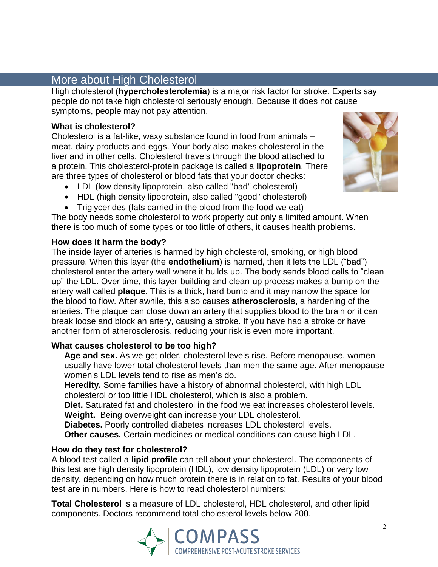# More about High Cholesterol

High cholesterol (**hypercholesterolemia**) is a major risk factor for stroke. Experts say people do not take high cholesterol seriously enough. Because it does not cause symptoms, people may not pay attention.

## **What is cholesterol?**

Cholesterol is a fat-like, waxy substance found in food from animals – meat, dairy products and eggs. Your body also makes cholesterol in the liver and in other cells. Cholesterol travels through the blood attached to a protein. This cholesterol-protein package is called a **lipoprotein**. There are three types of cholesterol or blood fats that your doctor checks:

- LDL (low density lipoprotein, also called "bad" cholesterol)
- HDL (high density lipoprotein, also called "good" cholesterol)
- Triglycerides (fats carried in the blood from the food we eat)

The body needs some cholesterol to work properly but only a limited amount. When there is too much of some types or too little of others, it causes health problems.

## **How does it harm the body?**

The inside layer of arteries is harmed by high cholesterol, smoking, or high blood pressure. When this layer (the **endothelium**) is harmed, then it lets the LDL ("bad") cholesterol enter the artery wall where it builds up. The body sends blood cells to "clean up" the LDL. Over time, this layer-building and clean-up process makes a bump on the artery wall called **plaque**. This is a thick, hard bump and it may narrow the space for the blood to flow. After awhile, this also causes **atherosclerosis**, a hardening of the arteries. The plaque can close down an artery that supplies blood to the brain or it can break loose and block an artery, causing a stroke. If you have had a stroke or have another form of atherosclerosis, reducing your risk is even more important.

## **What causes cholesterol to be too high?**

**Age and sex.** As we get older, cholesterol levels rise. Before menopause, women usually have lower total cholesterol levels than men the same age. After menopause women's LDL levels tend to rise as men's do.

**Heredity.** Some families have a history of abnormal cholesterol, with high LDL cholesterol or too little HDL cholesterol, which is also a problem.

**[Diet.](http://www.webmd.com/content/article/98/104656.htm)** Saturated fat and cholesterol in the food we eat increases cholesterol levels. **Weight.** Being overweight can increase your LDL cholesterol.

**Diabetes.** Poorly controlled diabetes increases LDL cholesterol levels.

**Other causes.** Certain medicines or medical conditions can cause high LDL.

#### **How do they test for cholesterol?**

A blood test called a **lipid profile** can tell about your cholesterol. The components of this test are high density lipoprotein (HDL), low density lipoprotein (LDL) or very low density, depending on how much protein there is in relation to fat. Results of your blood test are in numbers. Here is how to read cholesterol numbers:

**Total Cholesterol** is a measure of LDL cholesterol, HDL cholesterol, and other lipid components. Doctors recommend total cholesterol levels below 200.



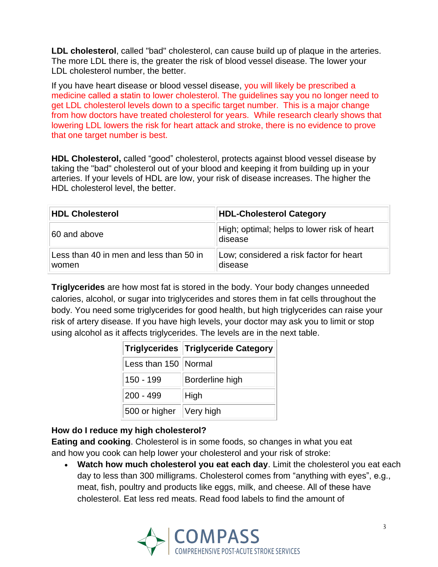**LDL cholesterol**, called "bad" cholesterol, can cause build up of plaque in the arteries. The more LDL there is, the greater the risk of blood vessel disease. The lower your LDL cholesterol number, the better.

If you have heart disease or blood vessel disease, you will likely be prescribed a medicine called a statin to lower cholesterol. The guidelines say you no longer need to get LDL cholesterol levels down to a specific target number. This is a major change from how doctors have treated cholesterol for years. While research clearly shows that lowering LDL lowers the risk for heart attack and stroke, there is no evidence to prove that one target number is best.

**HDL Cholesterol,** called "good" cholesterol, protects against blood vessel disease by taking the "bad" cholesterol out of your blood and keeping it from building up in your arteries. If your levels of HDL are low, your risk of disease increases. The higher the HDL cholesterol level, the better.

| <b>HDL Cholesterol</b>                           | <b>HDL-Cholesterol Category</b>                        |
|--------------------------------------------------|--------------------------------------------------------|
| 60 and above                                     | High; optimal; helps to lower risk of heart<br>disease |
| Less than 40 in men and less than 50 in<br>women | Low; considered a risk factor for heart<br>disease     |

**Triglycerides** are how most fat is stored in the body. Your body changes unneeded calories, alcohol, or sugar into triglycerides and stores them in fat cells throughout the body. You need some triglycerides for good health, but high triglycerides can raise your risk of artery disease. If you have high levels, your doctor may ask you to limit or stop using alcohol as it affects triglycerides. The levels are in the next table.

|                         | Triglycerides Triglyceride Category |
|-------------------------|-------------------------------------|
| Less than 150 Normal    |                                     |
| 150 - 199               | Borderline high                     |
| $200 - 499$             | High                                |
| 500 or higher Very high |                                     |

## **How do I reduce my high cholesterol?**

**Eating and cooking**. Cholesterol is in some foods, so changes in what you eat and how you cook can help lower your cholesterol and your risk of stroke:

 **Watch how much cholesterol you eat each day**. Limit the cholesterol you eat each day to less than 300 milligrams. Cholesterol comes from "anything with eyes", e.g., meat, fish, poultry and products like eggs, milk, and cheese. All of these have cholesterol. Eat less red meats. Read food labels to find the amount of

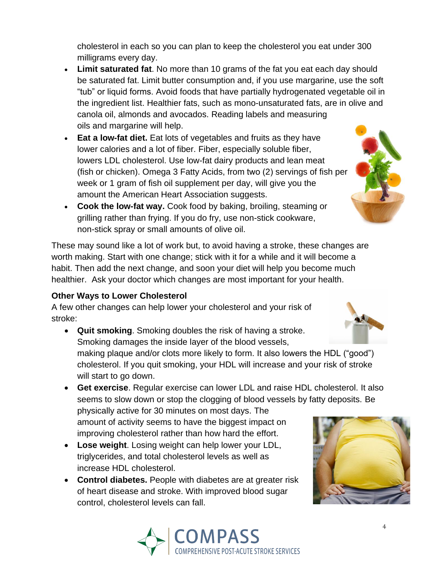cholesterol in each so you can plan to keep the cholesterol you eat under 300 milligrams every day.

- **Limit saturated fat**. No more than 10 grams of the fat you eat each day should be saturated fat. Limit butter consumption and, if you use margarine, use the soft "tub" or liquid forms. Avoid foods that have partially hydrogenated vegetable oil in the ingredient list. Healthier fats, such as mono-unsaturated fats, are in olive and canola oil, almonds and avocados. Reading labels and measuring oils and margarine will help.
- **Eat a low-fat diet.** Eat lots of vegetables and fruits as they have lower calories and a lot of fiber. Fiber, especially soluble fiber, lowers LDL cholesterol. Use low-fat dairy products and lean meat (fish or chicken). Omega 3 Fatty Acids, from two (2) servings of fish per week or 1 gram of fish oil supplement per day, will give you the amount the American Heart Association suggests.
- **Cook the low-fat way.** Cook food by baking, broiling, steaming or grilling rather than frying. If you do fry, use non-stick cookware, non-stick spray or small amounts of olive oil.

These may sound like a lot of work but, to avoid having a stroke, these changes are worth making. Start with one change; stick with it for a while and it will become a habit. Then add the next change, and soon your diet will help you become much healthier. Ask your doctor which changes are most important for your health.

## **Other Ways to Lower Cholesterol**

A few other changes can help lower your cholesterol and your risk of stroke:

- **Quit smoking**. Smoking doubles the risk of having a stroke. Smoking damages the inside layer of the blood vessels, making plaque and/or clots more likely to form. It also lowers the HDL ("good") cholesterol. If you quit smoking, your HDL will increase and your risk of stroke will start to go down.
- **Get exercise**. Regular exercise can lower LDL and raise HDL cholesterol. It also seems to slow down or stop the clogging of blood vessels by fatty deposits. Be physically active for 30 minutes on most days. The amount of activity seems to have the biggest impact on improving cholesterol rather than how hard the effort.
- **Lose weight**. Losing weight can help lower your LDL, triglycerides, and total cholesterol levels as well as increase HDL cholesterol.
- **Control diabetes.** People with diabetes are at greater risk of heart disease and stroke. With improved blood sugar control, cholesterol levels can fall.